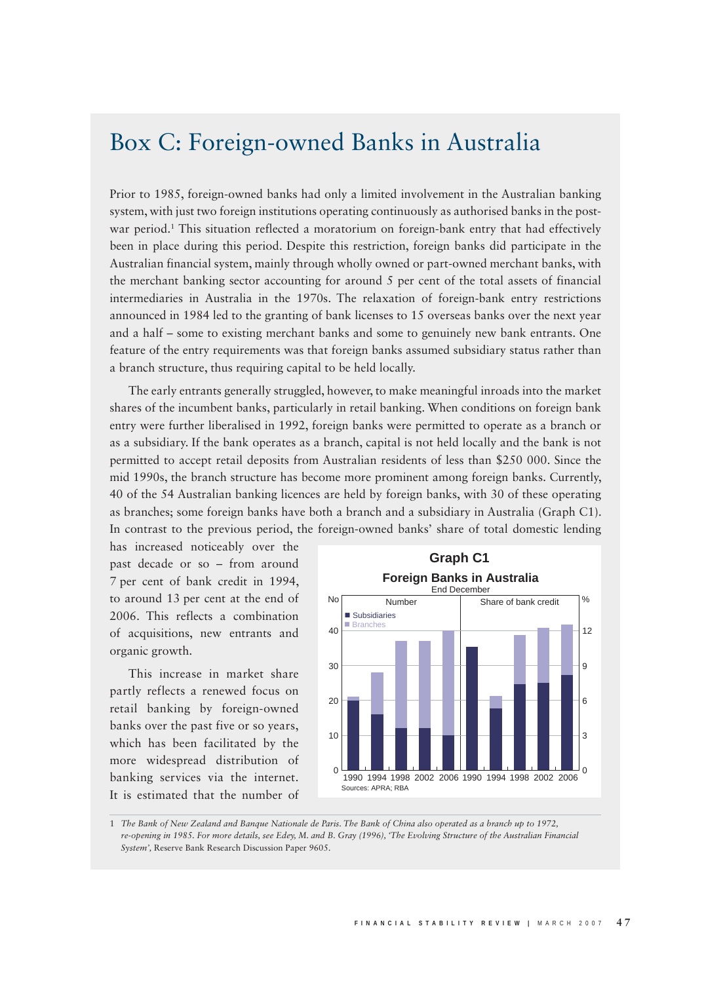## Box C: Foreign-owned Banks in Australia

Prior to 1985, foreign-owned banks had only a limited involvement in the Australian banking system, with just two foreign institutions operating continuously as authorised banks in the postwar period.1 This situation reflected a moratorium on foreign-bank entry that had effectively been in place during this period. Despite this restriction, foreign banks did participate in the Australian financial system, mainly through wholly owned or part-owned merchant banks, with the merchant banking sector accounting for around 5 per cent of the total assets of financial intermediaries in Australia in the 1970s. The relaxation of foreign-bank entry restrictions announced in 1984 led to the granting of bank licenses to 15 overseas banks over the next year and a half – some to existing merchant banks and some to genuinely new bank entrants. One feature of the entry requirements was that foreign banks assumed subsidiary status rather than a branch structure, thus requiring capital to be held locally.

The early entrants generally struggled, however, to make meaningful inroads into the market shares of the incumbent banks, particularly in retail banking. When conditions on foreign bank entry were further liberalised in 1992, foreign banks were permitted to operate as a branch or as a subsidiary. If the bank operates as a branch, capital is not held locally and the bank is not permitted to accept retail deposits from Australian residents of less than \$250 000. Since the mid 1990s, the branch structure has become more prominent among foreign banks. Currently, 40 of the 54 Australian banking licences are held by foreign banks, with 30 of these operating as branches; some foreign banks have both a branch and a subsidiary in Australia (Graph C1). In contrast to the previous period, the foreign-owned banks' share of total domestic lending

has increased noticeably over the past decade or so – from around 7 per cent of bank credit in 1994, to around 13 per cent at the end of 2006. This reflects a combination of acquisitions, new entrants and organic growth.

This increase in market share partly reflects a renewed focus on retail banking by foreign-owned banks over the past five or so years, which has been facilitated by the more widespread distribution of banking services via the internet. It is estimated that the number of



1 *The Bank of New Zealand and Banque Nationale de Paris. The Bank of China also operated as a branch up to 1972, re-opening in 1985. For more details, see Edey, M. and B. Gray (1996), 'The Evolving Structure of the Australian Financial System',* Reserve Bank Research Discussion Paper 9605.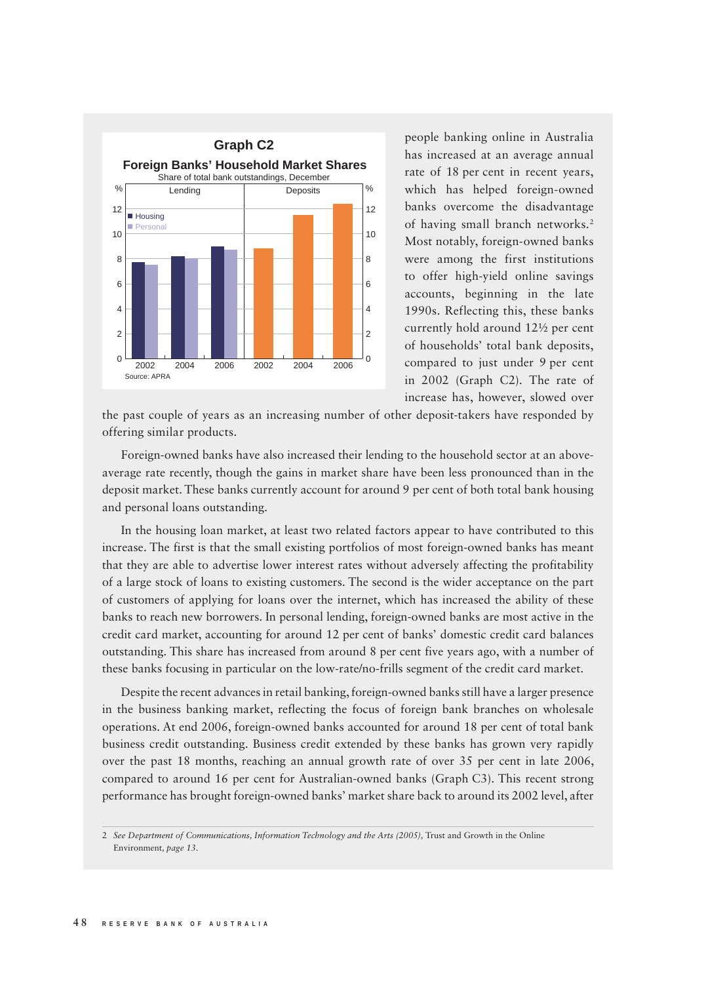

people banking online in Australia has increased at an average annual rate of 18 per cent in recent years, which has helped foreign-owned banks overcome the disadvantage of having small branch networks.<sup>2</sup> Most notably, foreign-owned banks were among the first institutions to offer high-yield online savings accounts, beginning in the late 1990s. Reflecting this, these banks currently hold around 12½ per cent of households' total bank deposits, compared to just under 9 per cent in 2002 (Graph C2). The rate of increase has, however, slowed over

the past couple of years as an increasing number of other deposit-takers have responded by offering similar products.

Foreign-owned banks have also increased their lending to the household sector at an aboveaverage rate recently, though the gains in market share have been less pronounced than in the deposit market. These banks currently account for around 9 per cent of both total bank housing and personal loans outstanding.

In the housing loan market, at least two related factors appear to have contributed to this increase. The first is that the small existing portfolios of most foreign-owned banks has meant that they are able to advertise lower interest rates without adversely affecting the profitability of a large stock of loans to existing customers. The second is the wider acceptance on the part of customers of applying for loans over the internet, which has increased the ability of these banks to reach new borrowers. In personal lending, foreign-owned banks are most active in the credit card market, accounting for around 12 per cent of banks' domestic credit card balances outstanding. This share has increased from around 8 per cent five years ago, with a number of these banks focusing in particular on the low-rate/no-frills segment of the credit card market.

Despite the recent advances in retail banking, foreign-owned banks still have a larger presence in the business banking market, reflecting the focus of foreign bank branches on wholesale operations. At end 2006, foreign-owned banks accounted for around 18 per cent of total bank business credit outstanding. Business credit extended by these banks has grown very rapidly over the past 18 months, reaching an annual growth rate of over 35 per cent in late 2006, compared to around 16 per cent for Australian-owned banks (Graph C3). This recent strong performance has brought foreign-owned banks' market share back to around its 2002 level, after

<sup>2</sup> *See Department of Communications, Information Technology and the Arts (2005), Trust and Growth in the Online* Environment*, page 13.*